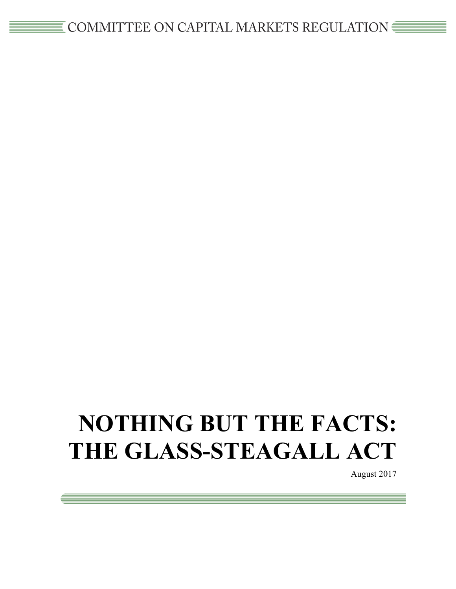# **NOTHING BUT THE FACTS: THE GLASS-STEAGALL ACT**

August 2017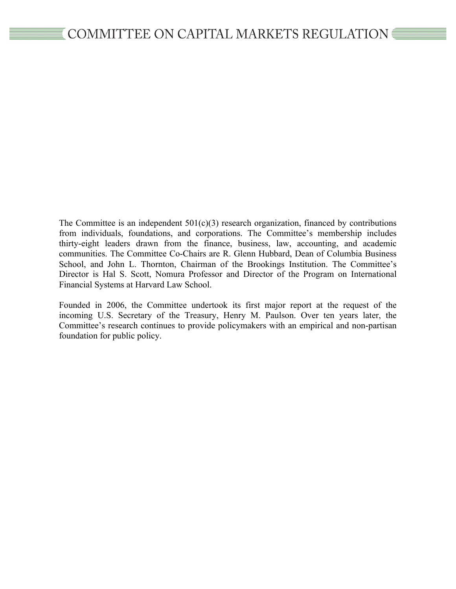The Committee is an independent  $501(c)(3)$  research organization, financed by contributions from individuals, foundations, and corporations. The Committee's membership includes thirty-eight leaders drawn from the finance, business, law, accounting, and academic communities. The Committee Co-Chairs are R. Glenn Hubbard, Dean of Columbia Business School, and John L. Thornton, Chairman of the Brookings Institution. The Committee's Director is Hal S. Scott, Nomura Professor and Director of the Program on International Financial Systems at Harvard Law School.

Founded in 2006, the Committee undertook its first major report at the request of the incoming U.S. Secretary of the Treasury, Henry M. Paulson. Over ten years later, the Committee's research continues to provide policymakers with an empirical and non-partisan foundation for public policy.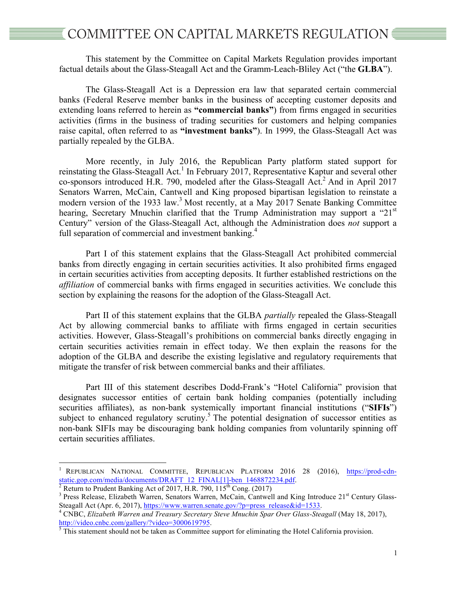This statement by the Committee on Capital Markets Regulation provides important factual details about the Glass-Steagall Act and the Gramm-Leach-Bliley Act ("the **GLBA**").

The Glass-Steagall Act is a Depression era law that separated certain commercial banks (Federal Reserve member banks in the business of accepting customer deposits and extending loans referred to herein as **"commercial banks"**) from firms engaged in securities activities (firms in the business of trading securities for customers and helping companies raise capital, often referred to as **"investment banks"**). In 1999, the Glass-Steagall Act was partially repealed by the GLBA.

More recently, in July 2016, the Republican Party platform stated support for reinstating the Glass-Steagall Act.<sup>1</sup> In February 2017, Representative Kaptur and several other co-sponsors introduced H.R. 790, modeled after the Glass-Steagall Act.<sup>2</sup> And in April 2017 Senators Warren, McCain, Cantwell and King proposed bipartisan legislation to reinstate a modern version of the 1933 law.<sup>3</sup> Most recently, at a May 2017 Senate Banking Committee hearing, Secretary Mnuchin clarified that the Trump Administration may support a "21<sup>st</sup> Century" version of the Glass-Steagall Act, although the Administration does *not* support a full separation of commercial and investment banking.<sup>4</sup>

Part I of this statement explains that the Glass-Steagall Act prohibited commercial banks from directly engaging in certain securities activities. It also prohibited firms engaged in certain securities activities from accepting deposits. It further established restrictions on the *affiliation* of commercial banks with firms engaged in securities activities. We conclude this section by explaining the reasons for the adoption of the Glass-Steagall Act.

Part II of this statement explains that the GLBA *partially* repealed the Glass-Steagall Act by allowing commercial banks to affiliate with firms engaged in certain securities activities. However, Glass-Steagall's prohibitions on commercial banks directly engaging in certain securities activities remain in effect today. We then explain the reasons for the adoption of the GLBA and describe the existing legislative and regulatory requirements that mitigate the transfer of risk between commercial banks and their affiliates.

Part III of this statement describes Dodd-Frank's "Hotel California" provision that designates successor entities of certain bank holding companies (potentially including securities affiliates), as non-bank systemically important financial institutions ("**SIFIs**") subject to enhanced regulatory scrutiny.<sup>5</sup> The potential designation of successor entities as non-bank SIFIs may be discouraging bank holding companies from voluntarily spinning off certain securities affiliates.

<sup>&</sup>lt;sup>1</sup> REPUBLICAN NATIONAL COMMITTEE, REPUBLICAN PLATFORM 2016 28 (2016), https://prod-cdn-<br>static.gop.com/media/documents/DRAFT 12 FINAL[1]-ben 1468872234.pdf.

 $\frac{1}{2}$  Return to Prudent Banking Act of 2017, H.R. 790,  $115^{\text{th}}$  Cong. (2017)<br><sup>3</sup> Press Release, Elizabeth Warren, Senators Warren, McCain, Cantwell and King Introduce 21<sup>st</sup> Century Glass-

Steagall Act (Apr. 6, 2017), https://www.warren.senate.gov/?p=press\_release&id=1533.<br><sup>4</sup> CNBC, *Elizabeth Warren and Treasury Secretary Steve Mnuchin Spar Over Glass-Steagall* (May 18, 2017), http://video.cnbc.com/gallery/

 $\frac{3}{5}$ This statement should not be taken as Committee support for eliminating the Hotel California provision.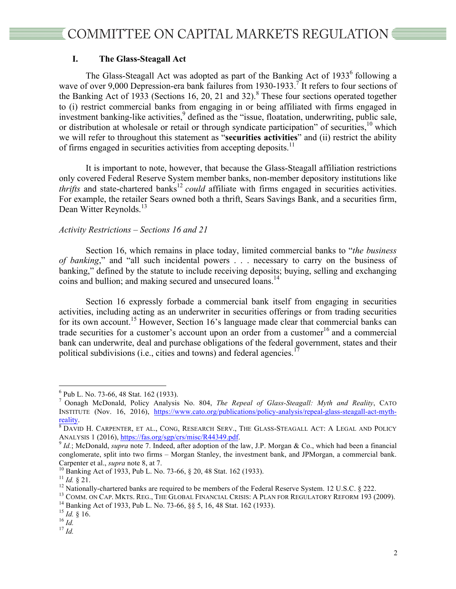# **I. The Glass-Steagall Act**

The Glass-Steagall Act was adopted as part of the Banking Act of  $1933<sup>6</sup>$  following a wave of over 9,000 Depression-era bank failures from 1930-1933.<sup>7</sup> It refers to four sections of the Banking Act of 1933 (Sections 16, 20, 21 and 32).<sup>8</sup> These four sections operated together to (i) restrict commercial banks from engaging in or being affiliated with firms engaged in investment banking-like activities, <sup>9</sup> defined as the "issue, floatation, underwriting, public sale, or distribution at wholesale or retail or through syndicate participation" of securities, <sup>10</sup> which we will refer to throughout this statement as "**securities activities**" and (ii) restrict the ability of firms engaged in securities activities from accepting deposits.<sup>11</sup>

It is important to note, however, that because the Glass-Steagall affiliation restrictions only covered Federal Reserve System member banks, non-member depository institutions like *thrifts* and state-chartered banks<sup>12</sup> *could* affiliate with firms engaged in securities activities. For example, the retailer Sears owned both a thrift, Sears Savings Bank, and a securities firm, Dean Witter Reynolds.<sup>13</sup>

## *Activity Restrictions – Sections 16 and 21*

Section 16, which remains in place today, limited commercial banks to "*the business of banking*," and "all such incidental powers . . . necessary to carry on the business of banking," defined by the statute to include receiving deposits; buying, selling and exchanging coins and bullion; and making secured and unsecured loans.<sup>14</sup>

Section 16 expressly forbade a commercial bank itself from engaging in securities activities, including acting as an underwriter in securities offerings or from trading securities for its own account.<sup>15</sup> However, Section 16's language made clear that commercial banks can trade securities for a customer's account upon an order from a customer $16$  and a commercial bank can underwrite, deal and purchase obligations of the federal government, states and their political subdivisions (i.e., cities and towns) and federal agencies.<sup>1</sup>

 <sup>6</sup> Pub L. No. 73-66, 48 Stat. 162 (1933). <sup>7</sup> Oonagh McDonald, Policy Analysis No. 804, *The Repeal of Glass-Steagall: Myth and Reality*, CATO INSTITUTE (Nov. 16, 2016), https://www.cato.org/publications/policy-analysis/repeal-glass-steagall-act-myth-

<sup>&</sup>lt;u>reality</u>.<br><sup>8</sup> David H. Carpenter, et al., Cong, Research Serv., The Glass-Steagall Act: A Legal and Policy ANALYSIS 1 (2016), https://fas.org/sgp/crs/misc/R44349.pdf.<br><sup>9</sup> *Id.*; McDonald, *supra* note 7. Indeed, after adoption of the law, J.P. Morgan & Co., which had been a financial

conglomerate, split into two firms – Morgan Stanley, the investment bank, and JPMorgan, a commercial bank.

Carpenter et al., *supra* note 8, at 7.<br><sup>10</sup> Banking Act of 1933, Pub L. No. 73-66, § 20, 48 Stat. 162 (1933).<br><sup>11</sup> *Id.* § 21.<br><sup>12</sup> Nationally-chartered banks are required to be members of the Federal Reserve System. 12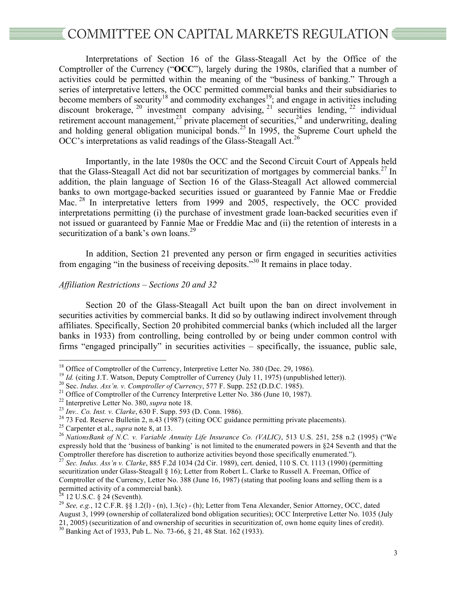Interpretations of Section 16 of the Glass-Steagall Act by the Office of the Comptroller of the Currency ("**OCC**"), largely during the 1980s, clarified that a number of activities could be permitted within the meaning of the "business of banking." Through a series of interpretative letters, the OCC permitted commercial banks and their subsidiaries to become members of security<sup>18</sup> and commodity exchanges<sup>19</sup>; and engage in activities including discount brokerage,  $^{20}$  investment company advising,  $^{21}$  securities lending,  $^{22}$  individual retirement account management,<sup>23</sup> private placement of securities,<sup>24</sup> and underwriting, dealing and holding general obligation municipal bonds. <sup>25</sup> In 1995, the Supreme Court upheld the OCC's interpretations as valid readings of the Glass-Steagall Act.<sup>26</sup>

Importantly, in the late 1980s the OCC and the Second Circuit Court of Appeals held that the Glass-Steagall Act did not bar securitization of mortgages by commercial banks. <sup>27</sup> In addition, the plain language of Section 16 of the Glass-Steagall Act allowed commercial banks to own mortgage-backed securities issued or guaranteed by Fannie Mae or Freddie Mac.<sup>28</sup> In interpretative letters from 1999 and 2005, respectively, the OCC provided interpretations permitting (i) the purchase of investment grade loan-backed securities even if not issued or guaranteed by Fannie Mae or Freddie Mac and (ii) the retention of interests in a securitization of a bank's own loans.<sup>29</sup>

In addition, Section 21 prevented any person or firm engaged in securities activities from engaging "in the business of receiving deposits."<sup>30</sup> It remains in place today.

# *Affiliation Restrictions – Sections 20 and 32*

Section 20 of the Glass-Steagall Act built upon the ban on direct involvement in securities activities by commercial banks. It did so by outlawing indirect involvement through affiliates. Specifically, Section 20 prohibited commercial banks (which included all the larger banks in 1933) from controlling, being controlled by or being under common control with firms "engaged principally" in securities activities – specifically, the issuance, public sale,

<sup>&</sup>lt;sup>18</sup> Office of Comptroller of the Currency, Interpretive Letter No. 380 (Dec. 29, 1986).<br><sup>19</sup> *Id.* (citing J.T. Watson, Deputy Comptroller of Currency (July 11, 1975) (unpublished letter)).<br><sup>20</sup> Sec. *Indus. Ass'n. v. Co* 

expressly hold that the 'business of banking' is not limited to the enumerated powers in §24 Seventh and that the Comptroller therefore has discretion to authorize activities beyond those specifically enumerated.").

<sup>27</sup> *Sec. Indus. Ass'n v. Clarke*, 885 F.2d 1034 (2d Cir. 1989), cert. denied, 110 S. Ct. 1113 (1990) (permitting securitization under Glass-Steagall § 16); Letter from Robert L. Clarke to Russell A. Freeman, Office of Comptroller of the Currency, Letter No. 388 (June 16, 1987) (stating that pooling loans and selling them is a permitted activity of a commercial bank).<br><sup>28</sup> 12 U.S.C. § 24 (Seventh).

<sup>&</sup>lt;sup>29</sup> *See, e.g.*, 12 C.F.R. §§ 1.2(l) - (n), 1.3(c) - (h); Letter from Tena Alexander, Senior Attorney, OCC, dated August 3, 1999 (ownership of collateralized bond obligation securities); OCC Interpretive Letter No. 1035 (July 21, 2005) (securitization of and ownership of securities in securitization of, own home equity lines of credit). <sup>30</sup> Banking Act of 1933, Pub L. No. 73-66, § 21, 48 Stat. 162 (1933).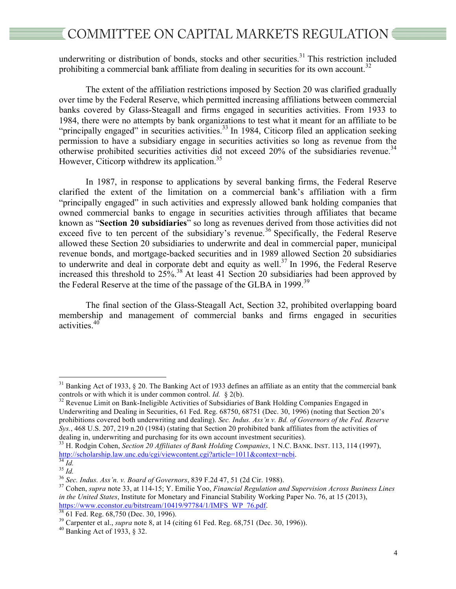underwriting or distribution of bonds, stocks and other securities.<sup>31</sup> This restriction included prohibiting a commercial bank affiliate from dealing in securities for its own account.<sup>32</sup>

The extent of the affiliation restrictions imposed by Section 20 was clarified gradually over time by the Federal Reserve, which permitted increasing affiliations between commercial banks covered by Glass-Steagall and firms engaged in securities activities. From 1933 to 1984, there were no attempts by bank organizations to test what it meant for an affiliate to be "principally engaged" in securities activities.<sup>33</sup> In 1984, Citicorp filed an application seeking permission to have a subsidiary engage in securities activities so long as revenue from the otherwise prohibited securities activities did not exceed  $20\%$  of the subsidiaries revenue.<sup>34</sup> However, Citicorp withdrew its application.<sup>35</sup>

In 1987, in response to applications by several banking firms, the Federal Reserve clarified the extent of the limitation on a commercial bank's affiliation with a firm "principally engaged" in such activities and expressly allowed bank holding companies that owned commercial banks to engage in securities activities through affiliates that became known as "**Section 20 subsidiaries**" so long as revenues derived from those activities did not exceed five to ten percent of the subsidiary's revenue.<sup>36</sup> Specifically, the Federal Reserve allowed these Section 20 subsidiaries to underwrite and deal in commercial paper, municipal revenue bonds, and mortgage-backed securities and in 1989 allowed Section 20 subsidiaries to underwrite and deal in corporate debt and equity as well.<sup>37</sup> In 1996, the Federal Reserve increased this threshold to  $25\%$ <sup>38</sup> At least 41 Section 20 subsidiaries had been approved by the Federal Reserve at the time of the passage of the GLBA in 1999.<sup>39</sup>

The final section of the Glass-Steagall Act, Section 32, prohibited overlapping board membership and management of commercial banks and firms engaged in securities activities. 40

<sup>&</sup>lt;sup>31</sup> Banking Act of 1933, § 20. The Banking Act of 1933 defines an affiliate as an entity that the commercial bank controls or with which it is under common control. *Id.* § 2(b).

<sup>&</sup>lt;sup>32</sup> Revenue Limit on Bank-Ineligible Activities of Subsidiaries of Bank Holding Companies Engaged in Underwriting and Dealing in Securities, 61 Fed. Reg. 68750, 68751 (Dec. 30, 1996) (noting that Section 20's prohibitions covered both underwriting and dealing). *Sec. Indus. Ass'n v. Bd. of Governors of the Fed. Reserve Sys.*, 468 U.S. 207, 219 n.20 (1984) (stating that Section 20 prohibited bank affiliates from the activities of dealing in, underwriting and purchasing for its own account investment securities).

<sup>&</sup>lt;sup>33</sup> H. Rodgin Cohen, *Section 20 Affiliates of Bank Holding Companies*, 1 N.C. BANK. INST. 113, 114 (1997), http://scholarship.law.unc.edu/cgi/viewcontent.cgi?article=1011&context=ncbi.

 $\frac{34}{1}$  *Id.*<br><sup>35</sup> *Id.*<br><sup>36</sup> *Sec. Indus. Ass'n. v. Board of Governors*, 839 F.2d 47, 51 (2d Cir. 1988).<br><sup>37</sup> Cohen, *supra* note 33, at 114-15; Y. Emilie Yoo, *Financial Regulation and Supervision Across Business Lin in the United States*, Institute for Monetary and Financial Stability Working Paper No. 76, at 15 (2013), https://www.econstor.eu/bitstream/10419/97784/1/IMFS WP 76.pdf.<br>
<sup>38</sup> 61 Fed. Reg. 68,750 (Dec. 30, 1996).<br>
<sup>39</sup> Carpenter et al., *supra* note 8, at 14 (citing 61 Fed. Reg. 68,751 (Dec. 30, 1996)).<br>
<sup>40</sup> Banking Act of 1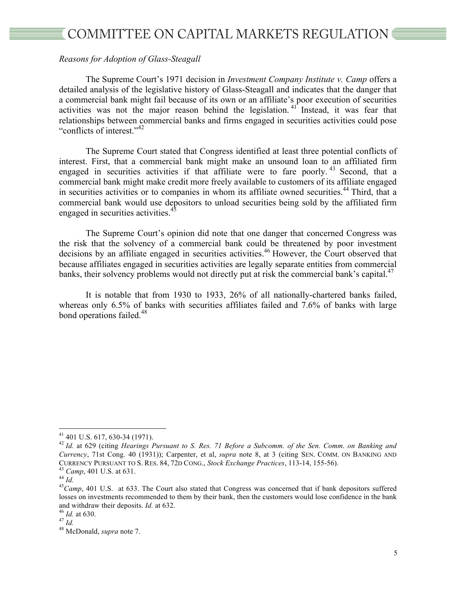# *Reasons for Adoption of Glass-Steagall*

The Supreme Court's 1971 decision in *Investment Company Institute v. Camp* offers a detailed analysis of the legislative history of Glass-Steagall and indicates that the danger that a commercial bank might fail because of its own or an affiliate's poor execution of securities activities was not the major reason behind the legislation.<sup>41</sup> Instead, it was fear that relationships between commercial banks and firms engaged in securities activities could pose "conflicts of interest."<sup>42</sup>

The Supreme Court stated that Congress identified at least three potential conflicts of interest. First, that a commercial bank might make an unsound loan to an affiliated firm engaged in securities activities if that affiliate were to fare poorly.<sup>43</sup> Second, that a commercial bank might make credit more freely available to customers of its affiliate engaged in securities activities or to companies in whom its affiliate owned securities.<sup>44</sup> Third, that a commercial bank would use depositors to unload securities being sold by the affiliated firm engaged in securities activities.<sup>45</sup>

The Supreme Court's opinion did note that one danger that concerned Congress was the risk that the solvency of a commercial bank could be threatened by poor investment decisions by an affiliate engaged in securities activities. <sup>46</sup> However, the Court observed that because affiliates engaged in securities activities are legally separate entities from commercial banks, their solvency problems would not directly put at risk the commercial bank's capital. $^{47}$ 

It is notable that from 1930 to 1933, 26% of all nationally-chartered banks failed, whereas only 6.5% of banks with securities affiliates failed and 7.6% of banks with large bond operations failed.<sup>48</sup>

 <sup>41</sup> 401 U.S. 617, 630-34 (1971). <sup>42</sup> *Id.* at 629 (citing *Hearings Pursuant to S. Res. 71 Before a Subcomm. of the Sen. Comm. on Banking and Currency*, 71st Cong. 40 (1931)); Carpenter, et al, *supra* note 8, at 3 (citing SEN. COMM. ON BANKING AND CURRENCY PURSUANT TO S. RES. 84, 72D CONG., *Stock Exchange Practices*, 113-14, 155-56).<br><sup>43</sup> Camp, 401 U.S. at 631.<br><sup>45</sup> Camp, 401 U.S. at 633. The Court also stated that Congress was concerned that if bank depositors suf

losses on investments recommended to them by their bank, then the customers would lose confidence in the bank and withdraw their deposits. *Id.* at 632. <sup>46</sup> *Id.* at 630. <sup>47</sup> *Id.* <sup>48</sup> McDonald, *supra* note 7.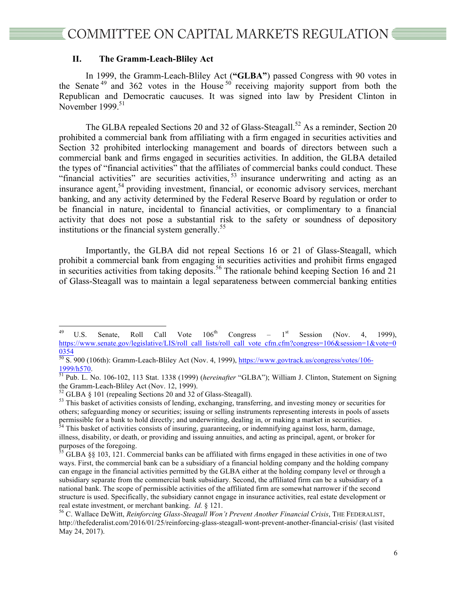#### **II. The Gramm-Leach-Bliley Act**

In 1999, the Gramm-Leach-Bliley Act (**"GLBA"**) passed Congress with 90 votes in the Senate<sup>49</sup> and 362 votes in the House<sup>50</sup> receiving majority support from both the Republican and Democratic caucuses. It was signed into law by President Clinton in November 1999.<sup>51</sup>

The GLBA repealed Sections 20 and 32 of Glass-Steagall.<sup>52</sup> As a reminder, Section 20 prohibited a commercial bank from affiliating with a firm engaged in securities activities and Section 32 prohibited interlocking management and boards of directors between such a commercial bank and firms engaged in securities activities. In addition, the GLBA detailed the types of "financial activities" that the affiliates of commercial banks could conduct. These "financial activities" are securities activities,<sup>53</sup> insurance underwriting and acting as an insurance agent, <sup>54</sup> providing investment, financial, or economic advisory services, merchant banking, and any activity determined by the Federal Reserve Board by regulation or order to be financial in nature, incidental to financial activities, or complimentary to a financial activity that does not pose a substantial risk to the safety or soundness of depository institutions or the financial system generally.<sup>55</sup>

Importantly, the GLBA did not repeal Sections 16 or 21 of Glass-Steagall, which prohibit a commercial bank from engaging in securities activities and prohibit firms engaged in securities activities from taking deposits.<sup>56</sup> The rationale behind keeping Section 16 and 21 of Glass-Steagall was to maintain a legal separateness between commercial banking entities

<sup>&</sup>lt;sup>49</sup> U.S. Senate, Roll Call Vote  $106<sup>th</sup>$  Congress –  $1<sup>st</sup>$  Session (Nov. 4, 1999), https://www.senate.gov/legislative/LIS/roll\_call\_lists/roll\_call\_vote\_cfm.cfm?congress=106&session=1&vote=0 0354

 $\frac{50}{50}$  S. 900 (106th): Gramm-Leach-Bliley Act (Nov. 4, 1999),  $\frac{https://www.govtrack.us/congress/votes/106-1999/h570}$ .

<sup>&</sup>lt;sup>51</sup> Pub. L. No. 106-102, 113 Stat. 1338 (1999) (*hereinafter* "GLBA"); William J. Clinton, Statement on Signing the Gramm-Leach-Bliley Act (Nov. 12, 1999).

 $52$  GLBA § 101 (repealing Sections 20 and 32 of Glass-Steagall).<br> $53$  This basket of activities consists of lending, exchanging, transferring, and investing money or securities for others; safeguarding money or securities; issuing or selling instruments representing interests in pools of assets permissible for a bank to hold directly; and underwriting, dealing in, or making a market in securities.

<sup>&</sup>lt;sup>54</sup> This basket of activities consists of insuring, guaranteeing, or indemnifying against loss, harm, damage, illness, disability, or death, or providing and issuing annuities, and acting as principal, agent, or broker for purposes of the foregoing.

 $55$  GLBA §§ 103, 121. Commercial banks can be affiliated with firms engaged in these activities in one of two ways. First, the commercial bank can be a subsidiary of a financial holding company and the holding company can engage in the financial activities permitted by the GLBA either at the holding company level or through a subsidiary separate from the commercial bank subsidiary. Second, the affiliated firm can be a subsidiary of a national bank. The scope of permissible activities of the affiliated firm are somewhat narrower if the second structure is used. Specifically, the subsidiary cannot engage in insurance activities, real estate development or real estate investment, or merchant banking. *Id.* § 121.<br><sup>56</sup> C. Wallace DeWitt, *Reinforcing Glass-Steagall Won't Prevent Another Financial Crisis*, THE FEDERALIST,

http://thefederalist.com/2016/01/25/reinforcing-glass-steagall-wont-prevent-another-financial-crisis/ (last visited May 24, 2017).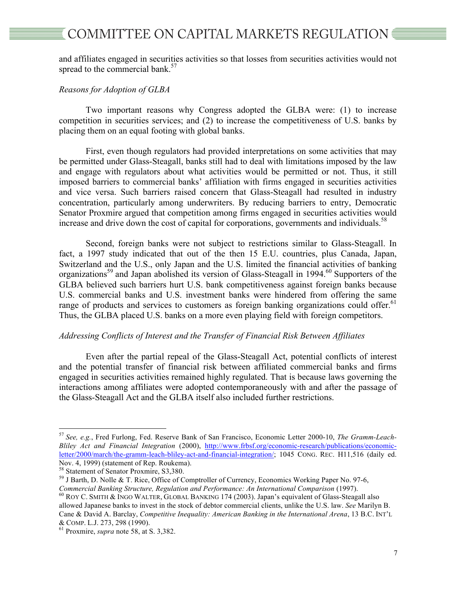and affiliates engaged in securities activities so that losses from securities activities would not spread to the commercial bank.<sup>57</sup>

# *Reasons for Adoption of GLBA*

Two important reasons why Congress adopted the GLBA were: (1) to increase competition in securities services; and (2) to increase the competitiveness of U.S. banks by placing them on an equal footing with global banks.

First, even though regulators had provided interpretations on some activities that may be permitted under Glass-Steagall, banks still had to deal with limitations imposed by the law and engage with regulators about what activities would be permitted or not. Thus, it still imposed barriers to commercial banks' affiliation with firms engaged in securities activities and vice versa. Such barriers raised concern that Glass-Steagall had resulted in industry concentration, particularly among underwriters. By reducing barriers to entry, Democratic Senator Proxmire argued that competition among firms engaged in securities activities would increase and drive down the cost of capital for corporations, governments and individuals.<sup>58</sup>

Second, foreign banks were not subject to restrictions similar to Glass-Steagall. In fact, a 1997 study indicated that out of the then 15 E.U. countries, plus Canada, Japan, Switzerland and the U.S., only Japan and the U.S. limited the financial activities of banking organizations<sup>59</sup> and Japan abolished its version of Glass-Steagall in 1994.<sup>60</sup> Supporters of the GLBA believed such barriers hurt U.S. bank competitiveness against foreign banks because U.S. commercial banks and U.S. investment banks were hindered from offering the same range of products and services to customers as foreign banking organizations could offer.<sup>61</sup> Thus, the GLBA placed U.S. banks on a more even playing field with foreign competitors.

#### *Addressing Conflicts of Interest and the Transfer of Financial Risk Between Affiliates*

Even after the partial repeal of the Glass-Steagall Act, potential conflicts of interest and the potential transfer of financial risk between affiliated commercial banks and firms engaged in securities activities remained highly regulated. That is because laws governing the interactions among affiliates were adopted contemporaneously with and after the passage of the Glass-Steagall Act and the GLBA itself also included further restrictions.

 <sup>57</sup> *See, e.g.*, Fred Furlong, Fed. Reserve Bank of San Francisco, Economic Letter 2000-10, *The Gramm-Leach-Bliley Act and Financial Integration* (2000), http://www.frbsf.org/economic-research/publications/economicletter/2000/march/the-gramm-leach-bliley-act-and-financial-integration/; 1045 CONG. REC. H11,516 (daily ed. Nov. 4, 1999) (statement of Rep. Roukema).<br><sup>58</sup> Statement of Senator Proxmire, S3,380.

 $^{59}$  J Barth, D. Nolle & T. Rice, Office of Comptroller of Currency, Economics Working Paper No. 97-6,

*Commercial Banking Structure, Regulation and Performance: An International Comparison* (1997).<br><sup>60</sup> ROY C. SMITH & INGO WALTER, GLOBAL BANKING 174 (2003). Japan's equivalent of Glass-Steagall also allowed Japanese banks to invest in the stock of debtor commercial clients, unlike the U.S. law. *See* Marilyn B. Cane & David A. Barclay, *Competitive Inequality: American Banking in the International Arena*, 13 B.C. INT'L & COMP. L.J. 273, 298 (1990). <sup>61</sup> Proxmire, *supra* note 58, at S. 3,382.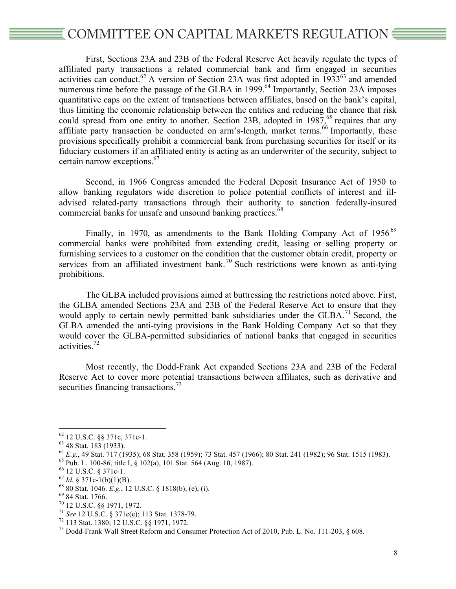First, Sections 23A and 23B of the Federal Reserve Act heavily regulate the types of affiliated party transactions a related commercial bank and firm engaged in securities activities can conduct.<sup>62</sup> A version of Section 23A was first adopted in  $1933^{63}$  and amended numerous time before the passage of the GLBA in  $1999$ .<sup>64</sup> Importantly, Section 23A imposes quantitative caps on the extent of transactions between affiliates, based on the bank's capital, thus limiting the economic relationship between the entities and reducing the chance that risk could spread from one entity to another. Section 23B, adopted in  $1987<sup>65</sup>$  requires that any affiliate party transaction be conducted on arm's-length, market terms.<sup>66</sup> Importantly, these provisions specifically prohibit a commercial bank from purchasing securities for itself or its fiduciary customers if an affiliated entity is acting as an underwriter of the security, subject to certain narrow exceptions.<sup>67</sup>

Second, in 1966 Congress amended the Federal Deposit Insurance Act of 1950 to allow banking regulators wide discretion to police potential conflicts of interest and illadvised related-party transactions through their authority to sanction federally-insured commercial banks for unsafe and unsound banking practices.<sup>68</sup>

Finally, in 1970, as amendments to the Bank Holding Company Act of 1956<sup>69</sup> commercial banks were prohibited from extending credit, leasing or selling property or furnishing services to a customer on the condition that the customer obtain credit, property or services from an affiliated investment bank.<sup>70</sup> Such restrictions were known as anti-tying prohibitions.

The GLBA included provisions aimed at buttressing the restrictions noted above. First, the GLBA amended Sections 23A and 23B of the Federal Reserve Act to ensure that they would apply to certain newly permitted bank subsidiaries under the GLBA.<sup>71</sup> Second, the GLBA amended the anti-tying provisions in the Bank Holding Company Act so that they would cover the GLBA-permitted subsidiaries of national banks that engaged in securities activities.72

Most recently, the Dodd-Frank Act expanded Sections 23A and 23B of the Federal Reserve Act to cover more potential transactions between affiliates, such as derivative and securities financing transactions. $\frac{73}{3}$ 

<sup>&</sup>lt;sup>62</sup> 12 U.S.C. §§ 371c, 371c-1.<br><sup>63</sup> 48 Stat. 183 (1933).<br><sup>64</sup> 48 Stat. 171 (1935); 68 Stat. 358 (1959); 73 Stat. 457 (1966); 80 Stat. 241 (1982); 96 Stat. 1515 (1983).<br><sup>65</sup> Pub. L. 100-86, tite I, § 102(a), 101 Stat. 564